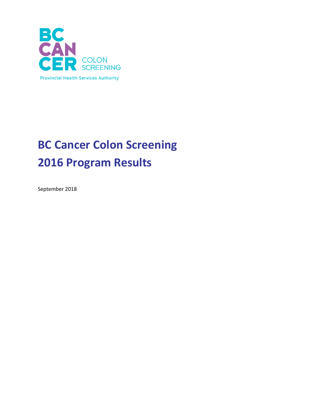

# **BC Cancer Colon Screening 2016 Program Results**

September 2018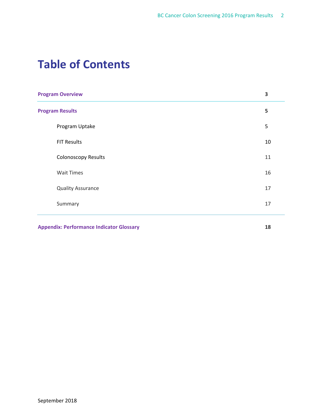# **Table of Contents**

| <b>Program Overview</b>    | 3              |
|----------------------------|----------------|
| <b>Program Results</b>     |                |
| Program Uptake             | $\overline{5}$ |
| <b>FIT Results</b>         | 10             |
| <b>Colonoscopy Results</b> | 11             |
| <b>Wait Times</b>          | 16             |
| <b>Quality Assurance</b>   | 17             |
| Summary                    | 17             |
|                            |                |

**Appendix: Performance Indicator Glossary 18**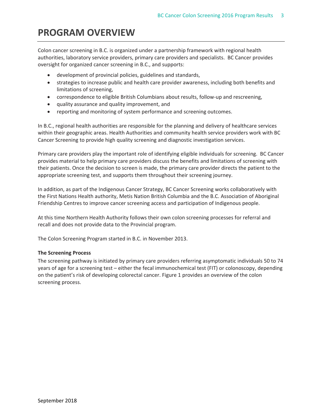# **PROGRAM OVERVIEW**

Colon cancer screening in B.C. is organized under a partnership framework with regional health authorities, laboratory service providers, primary care providers and specialists. BC Cancer provides oversight for organized cancer screening in B.C., and supports:

- development of provincial policies, guidelines and standards,
- strategies to increase public and health care provider awareness, including both benefits and limitations of screening,
- correspondence to eligible British Columbians about results, follow-up and rescreening,
- quality assurance and quality improvement, and
- reporting and monitoring of system performance and screening outcomes.

In B.C., regional health authorities are responsible for the planning and delivery of healthcare services within their geographic areas. Health Authorities and community health service providers work with BC Cancer Screening to provide high quality screening and diagnostic investigation services.

Primary care providers play the important role of identifying eligible individuals for screening. BC Cancer provides material to help primary care providers discuss the benefits and limitations of screening with their patients. Once the decision to screen is made, the primary care provider directs the patient to the appropriate screening test, and supports them throughout their screening journey.

In addition, as part of the Indigenous Cancer Strategy, BC Cancer Screening works collaboratively with the First Nations Health authority, Metis Nation British Columbia and the B.C. Association of Aboriginal Friendship Centres to improve cancer screening access and participation of Indigenous people.

At this time Northern Health Authority follows their own colon screening processes for referral and recall and does not provide data to the Provincial program.

The Colon Screening Program started in B.C. in November 2013.

# **The Screening Process**

The screening pathway is initiated by primary care providers referring asymptomatic individuals 50 to 74 years of age for a screening test – either the fecal immunochemical test (FIT) or colonoscopy, depending on the patient's risk of developing colorectal cancer. Figure 1 provides an overview of the colon screening process.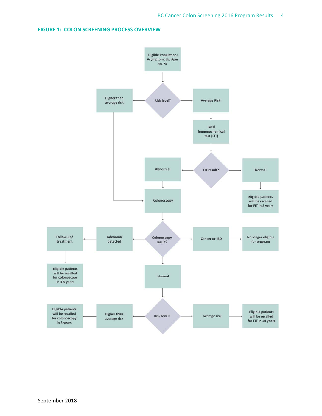## **FIGURE 1: COLON SCREENING PROCESS OVERVIEW**

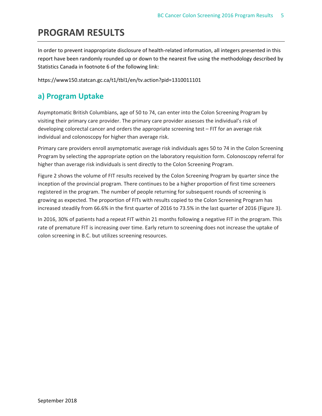# **PROGRAM RESULTS**

In order to prevent inappropriate disclosure of health-related information, all integers presented in this report have been randomly rounded up or down to the nearest five using the methodology described by Statistics Canada in footnote 6 of the following link:

```
https://www150.statcan.gc.ca/t1/tbl1/en/tv.action?pid=1310011101
```
# **a) Program Uptake**

Asymptomatic British Columbians, age of 50 to 74, can enter into the Colon Screening Program by visiting their primary care provider. The primary care provider assesses the individual's risk of developing colorectal cancer and orders the appropriate screening test – FIT for an average risk individual and colonoscopy for higher than average risk.

Primary care providers enroll asymptomatic average risk individuals ages 50 to 74 in the Colon Screening Program by selecting the appropriate option on the laboratory requisition form. Colonoscopy referral for higher than average risk individuals is sent directly to the Colon Screening Program.

Figure 2 shows the volume of FIT results received by the Colon Screening Program by quarter since the inception of the provincial program. There continues to be a higher proportion of first time screeners registered in the program. The number of people returning for subsequent rounds of screening is growing as expected. The proportion of FITs with results copied to the Colon Screening Program has increased steadily from 66.6% in the first quarter of 2016 to 73.5% in the last quarter of 2016 (Figure 3).

In 2016, 30% of patients had a repeat FIT within 21 months following a negative FIT in the program. This rate of premature FIT is increasing over time. Early return to screening does not increase the uptake of colon screening in B.C. but utilizes screening resources.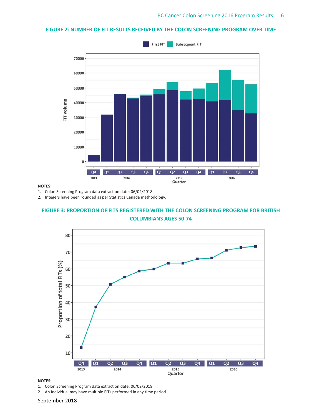## **FIGURE 2: NUMBER OF FIT RESULTS RECEIVED BY THE COLON SCREENING PROGRAM OVER TIME**



### **NOTES:**

1. Colon Screening Program data extraction date: 06/02/2018.

2. Integers have been rounded as per Statistics Canada methodology.

# **FIGURE 3: PROPORTION OF FITS REGISTERED WITH THE COLON SCREENING PROGRAM FOR BRITISH COLUMBIANS AGES 50‐74**



#### **NOTES:**

1. Colon Screening Program data extraction date: 06/02/2018.

2. An Individual may have multiple FITs performed in any time period.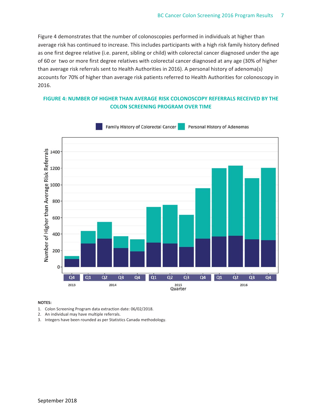Figure 4 demonstrates that the number of colonoscopies performed in individuals at higher than average risk has continued to increase. This includes participants with a high risk family history defined as one first degree relative (i.e. parent, sibling or child) with colorectal cancer diagnosed under the age of 60 or two or more first degree relatives with colorectal cancer diagnosed at any age (30% of higher than average risk referrals sent to Health Authorities in 2016). A personal history of adenoma(s) accounts for 70% of higher than average risk patients referred to Health Authorities for colonoscopy in 2016.

# **FIGURE 4: NUMBER OF HIGHER THAN AVERAGE RISK COLONOSCOPY REFERRALS RECEIVED BY THE COLON SCREENING PROGRAM OVER TIME**



- 1. Colon Screening Program data extraction date: 06/02/2018.
- 2. An individual may have multiple referrals.
- 3. Integers have been rounded as per Statistics Canada methodology.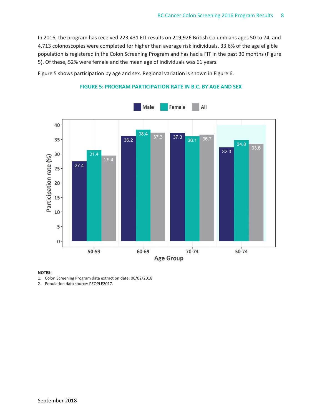In 2016, the program has received 223,431 FIT results on 219,926 British Columbians ages 50 to 74, and 4,713 colonoscopies were completed for higher than average risk individuals. 33.6% of the age eligible population is registered in the Colon Screening Program and has had a FIT in the past 30 months (Figure 5). Of these, 52% were female and the mean age of individuals was 61 years.

Figure 5 shows participation by age and sex. Regional variation is shown in Figure 6.



# **FIGURE 5: PROGRAM PARTICIPATION RATE IN B.C. BY AGE AND SEX**

#### **NOTES:**

1. Colon Screening Program data extraction date: 06/02/2018.

2. Population data source: PEOPLE2017.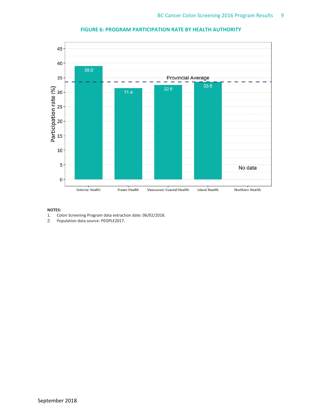

# **FIGURE 6: PROGRAM PARTICIPATION RATE BY HEALTH AUTHORITY**

- 1. Colon Screening Program data extraction date: 06/02/2018.<br>2. Population data source: PEOPLE2017.
- Population data source: PEOPLE2017.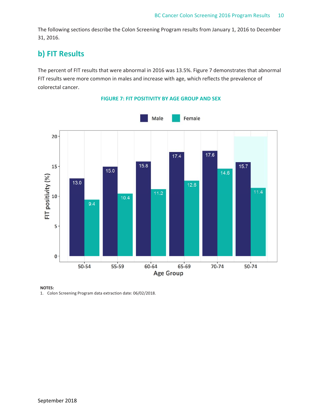The following sections describe the Colon Screening Program results from January 1, 2016 to December 31, 2016.

# **b) FIT Results**

The percent of FIT results that were abnormal in 2016 was 13.5%. Figure 7 demonstrates that abnormal FIT results were more common in males and increase with age, which reflects the prevalence of colorectal cancer.



# **FIGURE 7: FIT POSITIVITY BY AGE GROUP AND SEX**

#### **NOTES:**

1. Colon Screening Program data extraction date: 06/02/2018.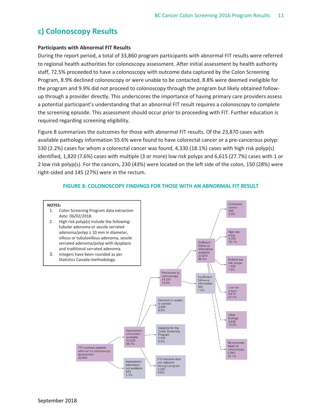# **c) Colonoscopy Results**

## **Participants with Abnormal FIT Results**

During the report period, a total of 33,860 program participants with abnormal FIT results were referred to regional health authorities for colonoscopy assessment. After initial assessment by health authority staff, 72.5% proceeded to have a colonoscopy with outcome data captured by the Colon Screening Program, 8.9% declined colonoscopy or were unable to be contacted, 8.8% were deemed ineligible for the program and 9.9% did not proceed to colonoscopy through the program but likely obtained follow‐ up through a provider directly. This underscores the importance of having primary care providers assess a potential participant's understanding that an abnormal FIT result requires a colonoscopy to complete the screening episode. This assessment should occur prior to proceeding with FIT. Further education is required regarding screening eligibility.

Figure 8 summarizes the outcomes for those with abnormal FIT results. Of the 23,870 cases with available pathology information 55.6% were found to have colorectal cancer or a pre‐cancerous polyp: 530 (2.2%) cases for whom a colorectal cancer was found, 4,330 (18.1%) cases with high risk polyp(s) identified, 1,820 (7.6%) cases with multiple (3 or more) low risk polyps and 6,615 (27.7%) cases with 1 or 2 low risk polyp(s). For the cancers, 230 (43%) were located on the left side of the colon, 150 (28%) were right‐sided and 145 (27%) were in the rectum.



## **FIGURE 8: COLONOSCOPY FINDINGS FOR THOSE WITH AN ABNORMAL FIT RESULT**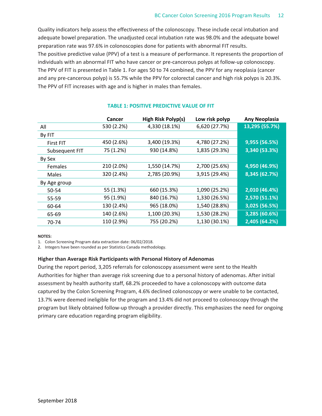Quality indicators help assess the effectiveness of the colonoscopy. These include cecal intubation and adequate bowel preparation. The unadjusted cecal intubation rate was 98.0% and the adequate bowel preparation rate was 97.6% in colonoscopies done for patients with abnormal FIT results. The positive predictive value (PPV) of a test is a measure of performance. It represents the proportion of individuals with an abnormal FIT who have cancer or pre‐cancerous polyps at follow‐up colonoscopy. The PPV of FIT is presented in Table 1. For ages 50 to 74 combined, the PPV for any neoplasia (cancer and any pre-cancerous polyp) is 55.7% while the PPV for colorectal cancer and high risk polyps is 20.3%. The PPV of FIT increases with age and is higher in males than females.

|                | <b>Cancer</b> | High Risk Polyp(s) | Low risk polyp | <b>Any Neoplasia</b> |
|----------------|---------------|--------------------|----------------|----------------------|
| All            | 530 (2.2%)    | 4,330 (18.1%)      | 6,620 (27.7%)  | 13,295 (55.7%)       |
| By FIT         |               |                    |                |                      |
| First FIT      | 450 (2.6%)    | 3,400 (19.3%)      | 4,780 (27.2%)  | 9,955 (56.5%)        |
| Subsequent FIT | 75 (1.2%)     | 930 (14.8%)        | 1,835 (29.3%)  | 3,340 (53.3%)        |
| By Sex         |               |                    |                |                      |
| <b>Females</b> | 210 (2.0%)    | 1,550 (14.7%)      | 2,700 (25.6%)  | 4,950 (46.9%)        |
| Males          | 320 (2.4%)    | 2,785 (20.9%)      | 3,915 (29.4%)  | 8,345 (62.7%)        |
| By Age group   |               |                    |                |                      |
| 50-54          | 55 (1.3%)     | 660 (15.3%)        | 1,090 (25.2%)  | 2,010 (46.4%)        |
| 55-59          | 95 (1.9%)     | 840 (16.7%)        | 1,330 (26.5%)  | 2,570 (51.1%)        |
| 60-64          | 130 (2.4%)    | 965 (18.0%)        | 1,540 (28.8%)  | 3,025 (56.5%)        |
| 65-69          | 140 (2.6%)    | 1,100 (20.3%)      | 1,530 (28.2%)  | 3,285 (60.6%)        |
| 70-74          | 110 (2.9%)    | 755 (20.2%)        | 1,130 (30.1%)  | 2,405 (64.2%)        |

## **TABLE 1: POSITIVE PREDICTIVE VALUE OF FIT**

#### **NOTES:**

1. Colon Screening Program data extraction date: 06/02/2018.

2. Integers have been rounded as per Statistics Canada methodology.

### **Higher than Average Risk Participants with Personal History of Adenomas**

During the report period, 3,205 referrals for colonoscopy assessment were sent to the Health Authorities for higher than average risk screening due to a personal history of adenomas. After initial assessment by health authority staff, 68.2% proceeded to have a colonoscopy with outcome data captured by the Colon Screening Program, 4.6% declined colonoscopy or were unable to be contacted, 13.7% were deemed ineligible for the program and 13.4% did not proceed to colonoscopy through the program but likely obtained follow‐up through a provider directly. This emphasizes the need for ongoing primary care education regarding program eligibility.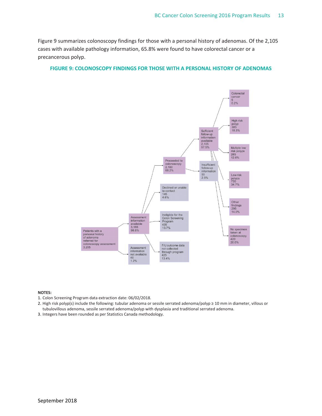Figure 9 summarizes colonoscopy findings for those with a personal history of adenomas. Of the 2,105 cases with available pathology information, 65.8% were found to have colorectal cancer or a precancerous polyp.

## **FIGURE 9: COLONOSCOPY FINDINGS FOR THOSE WITH A PERSONAL HISTORY OF ADENOMAS**



- 1. Colon Screening Program data extraction date: 06/02/2018.
- 2. High risk polyp(s) include the following: tubular adenoma or sessile serrated adenoma/polyp ≥ 10 mm in diameter, villous or tubulovillous adenoma, sessile serrated adenoma/polyp with dysplasia and traditional serrated adenoma.
- 3. Integers have been rounded as per Statistics Canada methodology.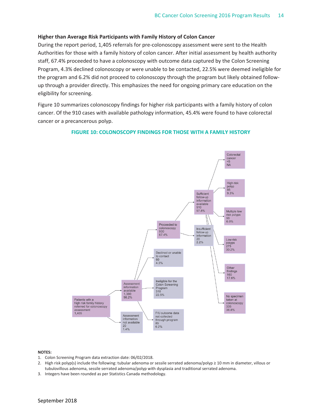#### **Higher than Average Risk Participants with Family History of Colon Cancer**

During the report period, 1,405 referrals for pre‐colonoscopy assessment were sent to the Health Authorities for those with a family history of colon cancer. After initial assessment by health authority staff, 67.4% proceeded to have a colonoscopy with outcome data captured by the Colon Screening Program, 4.3% declined colonoscopy or were unable to be contacted, 22.5% were deemed ineligible for the program and 6.2% did not proceed to colonoscopy through the program but likely obtained follow‐ up through a provider directly. This emphasizes the need for ongoing primary care education on the eligibility for screening.

Figure 10 summarizes colonoscopy findings for higher risk participants with a family history of colon cancer. Of the 910 cases with available pathology information, 45.4% were found to have colorectal cancer or a precancerous polyp.

#### **FIGURE 10: COLONOSCOPY FINDINGS FOR THOSE WITH A FAMILY HISTORY**



- 1. Colon Screening Program data extraction date: 06/02/2018.
- 2. High risk polyp(s) include the following: tubular adenoma or sessile serrated adenoma/polyp ≥ 10 mm in diameter, villous or tubulovillous adenoma, sessile serrated adenoma/polyp with dysplasia and traditional serrated adenoma.
- 3. Integers have been rounded as per Statistics Canada methodology.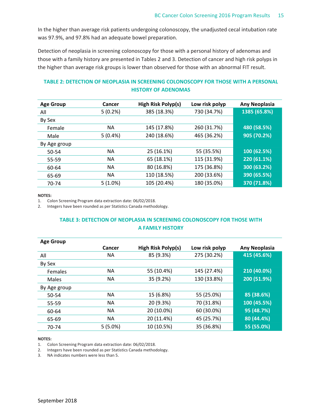In the higher than average risk patients undergoing colonoscopy, the unadjusted cecal intubation rate was 97.9%, and 97.8% had an adequate bowel preparation.

Detection of neoplasia in screening colonoscopy for those with a personal history of adenomas and those with a family history are presented in Tables 2 and 3. Detection of cancer and high risk polyps in the higher than average risk groups is lower than observed for those with an abnormal FIT result.

# **TABLE 2: DETECTION OF NEOPLASIA IN SCREENING COLONOSCOPY FOR THOSE WITH A PERSONAL HISTORY OF ADENOMAS**

| <b>Age Group</b> | Cancer     | High Risk Polyp(s) | Low risk polyp | <b>Any Neoplasia</b> |
|------------------|------------|--------------------|----------------|----------------------|
| All              | 5(0.2%)    | 385 (18.3%)        | 730 (34.7%)    | 1385 (65.8%)         |
| By Sex           |            |                    |                |                      |
| Female           | <b>NA</b>  | 145 (17.8%)        | 260 (31.7%)    | 480 (58.5%)          |
| Male             | 5(0.4%)    | 240 (18.6%)        | 465 (36.2%)    | 905 (70.2%)          |
| By Age group     |            |                    |                |                      |
| 50-54            | <b>NA</b>  | 25 (16.1%)         | 55 (35.5%)     | 100 (62.5%)          |
| 55-59            | <b>NA</b>  | 65 (18.1%)         | 115 (31.9%)    | 220 (61.1%)          |
| 60-64            | <b>NA</b>  | 80 (16.8%)         | 175 (36.8%)    | 300 (63.2%)          |
| 65-69            | <b>NA</b>  | 110 (18.5%)        | 200 (33.6%)    | 390 (65.5%)          |
| 70-74            | $5(1.0\%)$ | 105 (20.4%)        | 180 (35.0%)    | 370 (71.8%)          |

#### **NOTES:**

1. Colon Screening Program data extraction date: 06/02/2018.

2. Integers have been rounded as per Statistics Canada methodology.

# **TABLE 3: DETECTION OF NEOPLASIA IN SCREENING COLONOSCOPY FOR THOSE WITH A FAMILY HISTORY**

| <b>Age Group</b> |               |                    |                |                      |
|------------------|---------------|--------------------|----------------|----------------------|
|                  | <b>Cancer</b> | High Risk Polyp(s) | Low risk polyp | <b>Any Neoplasia</b> |
| All              | ΝA            | 85 (9.3%)          | 275 (30.2%)    | 415 (45.6%)          |
| By Sex           |               |                    |                |                      |
| <b>Females</b>   | <b>NA</b>     | 55 (10.4%)         | 145 (27.4%)    | 210 (40.0%)          |
| Males            | ΝA            | 35 (9.2%)          | 130 (33.8%)    | 200 (51.9%)          |
| By Age group     |               |                    |                |                      |
| 50-54            | NА            | 15 (6.8%)          | 55 (25.0%)     | 85 (38.6%)           |
| 55-59            | <b>NA</b>     | 20 (9.3%)          | 70 (31.8%)     | 100 (45.5%)          |
| 60-64            | ΝA            | 20 (10.0%)         | 60 (30.0%)     | 95 (48.7%)           |
| 65-69            | <b>NA</b>     | 20 (11.4%)         | 45 (25.7%)     | 80 (44.4%)           |
| 70-74            | $5(5.0\%)$    | 10 (10.5%)         | 35 (36.8%)     | 55 (55.0%)           |

#### **NOTES:**

1. Colon Screening Program data extraction date: 06/02/2018.

2. Integers have been rounded as per Statistics Canada methodology.

3. NA indicates numbers were less than 5.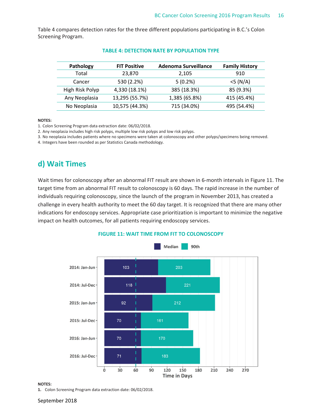Table 4 compares detection rates for the three different populations participating in B.C.'s Colon Screening Program.

| Pathology       | <b>FIT Positive</b> | <b>Adenoma Surveillance</b> | <b>Family History</b> |
|-----------------|---------------------|-----------------------------|-----------------------|
| Total           | 23,870              | 2,105                       | 910                   |
| Cancer          | 530 (2.2%)          | $5(0.2\%)$                  | $<$ 5 (N/A)           |
| High Risk Polyp | 4,330 (18.1%)       | 385 (18.3%)                 | 85 (9.3%)             |
| Any Neoplasia   | 13,295 (55.7%)      | 1,385 (65.8%)               | 415 (45.4%)           |
| No Neoplasia    | 10,575 (44.3%)      | 715 (34.0%)                 | 495 (54.4%)           |

#### **TABLE 4: DETECTION RATE BY POPULATION TYPE**

**NOTES:**

1. Colon Screening Program data extraction date: 06/02/2018.

2. Any neoplasia includes high risk polyps, multiple low risk polyps and low risk polyps.

3. No neoplasia includes patients where no specimens were taken at colonoscopy and other polyps/specimens being removed.

4. Integers have been rounded as per Statistics Canada methodology.

# **d) Wait Times**

Wait times for colonoscopy after an abnormal FIT result are shown in 6-month intervals in Figure 11. The target time from an abnormal FIT result to colonoscopy is 60 days. The rapid increase in the number of individuals requiring colonoscopy, since the launch of the program in November 2013, has created a challenge in every health authority to meet the 60 day target. It is recognized that there are many other indications for endoscopy services. Appropriate case prioritization is important to minimize the negative impact on health outcomes, for all patients requiring endoscopy services.



#### **FIGURE 11: WAIT TIME FROM FIT TO COLONOSCOPY**

#### **NOTES:**

**1.** Colon Screening Program data extraction date: 06/02/2018.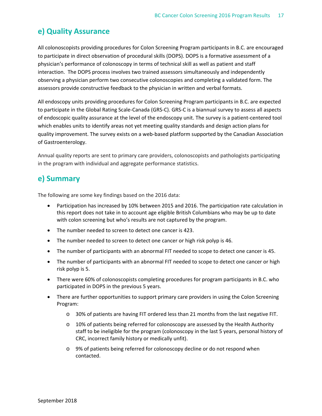# **e) Quality Assurance**

All colonoscopists providing procedures for Colon Screening Program participants in B.C. are encouraged to participate in direct observation of procedural skills (DOPS). DOPS is a formative assessment of a physician's performance of colonoscopy in terms of technical skill as well as patient and staff interaction. The DOPS process involves two trained assessors simultaneously and independently observing a physician perform two consecutive colonoscopies and completing a validated form. The assessors provide constructive feedback to the physician in written and verbal formats.

All endoscopy units providing procedures for Colon Screening Program participants in B.C. are expected to participate in the Global Rating Scale‐Canada (GRS‐C). GRS‐C is a biannual survey to assess all aspects of endoscopic quality assurance at the level of the endoscopy unit. The survey is a patient‐centered tool which enables units to identify areas not yet meeting quality standards and design action plans for quality improvement. The survey exists on a web‐based platform supported by the Canadian Association of Gastroenterology.

Annual quality reports are sent to primary care providers, colonoscopists and pathologists participating in the program with individual and aggregate performance statistics.

# **e) Summary**

The following are some key findings based on the 2016 data:

- Participation has increased by 10% between 2015 and 2016. The participation rate calculation in this report does not take in to account age eligible British Columbians who may be up to date with colon screening but who's results are not captured by the program.
- The number needed to screen to detect one cancer is 423.
- The number needed to screen to detect one cancer or high risk polyp is 46.
- The number of participants with an abnormal FIT needed to scope to detect one cancer is 45.
- The number of participants with an abnormal FIT needed to scope to detect one cancer or high risk polyp is 5.
- There were 60% of colonoscopists completing procedures for program participants in B.C. who participated in DOPS in the previous 5 years.
- There are further opportunities to support primary care providers in using the Colon Screening Program:
	- o 30% of patients are having FIT ordered less than 21 months from the last negative FIT.
	- $\circ$  10% of patients being referred for colonoscopy are assessed by the Health Authority staff to be ineligible for the program (colonoscopy in the last 5 years, personal history of CRC, incorrect family history or medically unfit).
	- o 9% of patients being referred for colonoscopy decline or do not respond when contacted.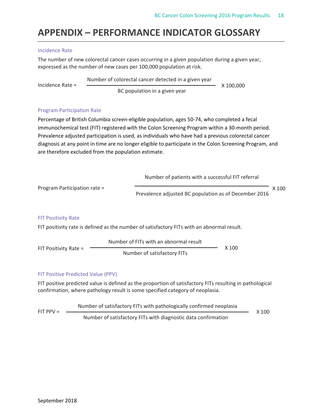# **APPENDIX – PERFORMANCE INDICATOR GLOSSARY**

# Incidence Rate

The number of new colorectal cancer cases occurring in a given population during a given year, expressed as the number of new cases per 100,000 population at risk.

Incidence Rate = Number of colorectal cancer detected in a given year BC population in a given year X 100,000

## Program Participation Rate

Percentage of British Columbia screen‐eligible population, ages 50‐74, who completed a fecal immunochemical test (FIT) registered with the Colon Screening Program within a 30-month period. Prevalence adjusted participation is used, as individuals who have had a previous colorectal cancer diagnosis at any point in time are no longer eligible to participate in the Colon Screening Program, and are therefore excluded from the population estimate.

Program Participation rate = FIT Positivity Rate FIT positivity rate is defined as the number of satisfactory FITs with an abnormal result. FIT Positivity Rate = Number of FITs with an abnormal result Number of satisfactory FITs X 100 Number of patients with a successful FIT referral Prevalence adjusted BC population as of December 2016 X 100

# FIT Positive Predicted Value (PPV)

FIT positive predicted value is defined as the proportion of satisfactory FITs resulting in pathological confirmation, where pathology result is some specified category of neoplasia.

 $FIT PPV =$  Number of satisfactory FITs with diagnostic data confirmation Number of satisfactory FITs with pathologically confirmed neoplasia X 100